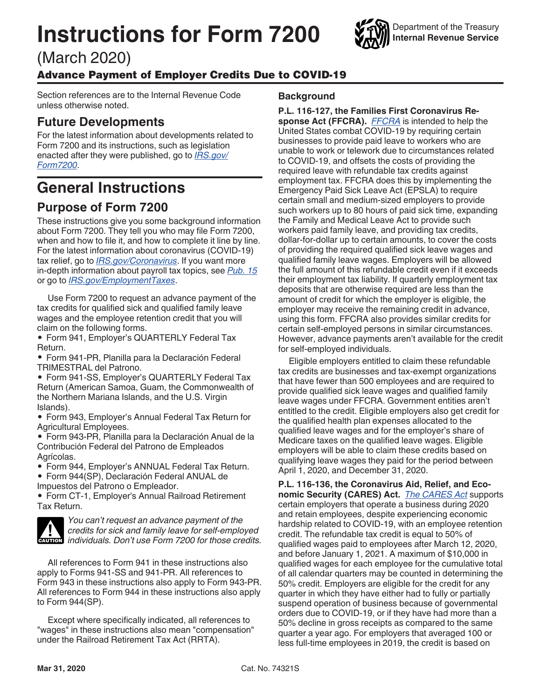# <span id="page-0-0"></span>**Instructions for Form 7200**

(March 2020)

### Advance Payment of Employer Credits Due to COVID-19

Section references are to the Internal Revenue Code unless otherwise noted.

### **Future Developments**

For the latest information about developments related to Form 7200 and its instructions, such as legislation enacted after they were published, go to *[IRS.gov/](https://www.irs.gov/form7200) [Form7200](https://www.irs.gov/form7200)*.

# **General Instructions**

### **Purpose of Form 7200**

These instructions give you some background information about Form 7200. They tell you who may file Form 7200, when and how to file it, and how to complete it line by line. For the latest information about coronavirus (COVID-19) tax relief, go to *[IRS.gov/Coronavirus](https://www.irs.gov/coronavirus)*. If you want more in-depth information about payroll tax topics, see *[Pub. 15](https://www.irs.gov/pub15)*  or go to *[IRS.gov/EmploymentTaxes](https://www.irs.gov/employmenttaxes)*.

Use Form 7200 to request an advance payment of the tax credits for qualified sick and qualified family leave wages and the employee retention credit that you will claim on the following forms.

• Form 941, Employer's QUARTERLY Federal Tax Return.

• Form 941-PR, Planilla para la Declaración Federal TRIMESTRAL del Patrono.

• Form 941-SS, Employer's QUARTERLY Federal Tax Return (American Samoa, Guam, the Commonwealth of the Northern Mariana Islands, and the U.S. Virgin Islands).

• Form 943, Employer's Annual Federal Tax Return for Agricultural Employees.

• Form 943-PR, Planilla para la Declaración Anual de la Contribución Federal del Patrono de Empleados Agrícolas.

• Form 944, Employer's ANNUAL Federal Tax Return.

• Form 944(SP), Declaración Federal ANUAL de Impuestos del Patrono o Empleador.

• Form CT-1, Employer's Annual Railroad Retirement Tax Return.



*You can't request an advance payment of the credits for sick and family leave for self-employed*  **individuals.** Don't use Form 7200 for those credits.<br> **CAUTION** individuals. Don't use Form 7200 for those credits.

All references to Form 941 in these instructions also apply to Forms 941-SS and 941-PR. All references to Form 943 in these instructions also apply to Form 943-PR. All references to Form 944 in these instructions also apply to Form 944(SP).

Except where specifically indicated, all references to "wages" in these instructions also mean "compensation" under the Railroad Retirement Tax Act (RRTA).

#### **Background**

**P.L. 116-127, the Families First Coronavirus Response Act (FFCRA).** *[FFCRA](https://www.congress.gov/bill/116th-congress/house-bill/6201)* is intended to help the United States combat COVID-19 by requiring certain businesses to provide paid leave to workers who are unable to work or telework due to circumstances related to COVID-19, and offsets the costs of providing the required leave with refundable tax credits against employment tax. FFCRA does this by implementing the Emergency Paid Sick Leave Act (EPSLA) to require certain small and medium-sized employers to provide such workers up to 80 hours of paid sick time, expanding the Family and Medical Leave Act to provide such workers paid family leave, and providing tax credits, dollar-for-dollar up to certain amounts, to cover the costs of providing the required qualified sick leave wages and qualified family leave wages. Employers will be allowed the full amount of this refundable credit even if it exceeds their employment tax liability. If quarterly employment tax deposits that are otherwise required are less than the amount of credit for which the employer is eligible, the employer may receive the remaining credit in advance, using this form. FFCRA also provides similar credits for certain self-employed persons in similar circumstances. However, advance payments aren't available for the credit for self-employed individuals.

Eligible employers entitled to claim these refundable tax credits are businesses and tax-exempt organizations that have fewer than 500 employees and are required to provide qualified sick leave wages and qualified family leave wages under FFCRA. Government entities aren't entitled to the credit. Eligible employers also get credit for the qualified health plan expenses allocated to the qualified leave wages and for the employer's share of Medicare taxes on the qualified leave wages. Eligible employers will be able to claim these credits based on qualifying leave wages they paid for the period between April 1, 2020, and December 31, 2020.

**P.L. 116-136, the Coronavirus Aid, Relief, and Economic Security (CARES) Act.** *[The CARES Act](https://www.congress.gov/bill/116th-congress/house-bill/748)* supports certain employers that operate a business during 2020 and retain employees, despite experiencing economic hardship related to COVID-19, with an employee retention credit. The refundable tax credit is equal to 50% of qualified wages paid to employees after March 12, 2020, and before January 1, 2021. A maximum of \$10,000 in qualified wages for each employee for the cumulative total of all calendar quarters may be counted in determining the 50% credit. Employers are eligible for the credit for any quarter in which they have either had to fully or partially suspend operation of business because of governmental orders due to COVID-19, or if they have had more than a 50% decline in gross receipts as compared to the same quarter a year ago. For employers that averaged 100 or less full-time employees in 2019, the credit is based on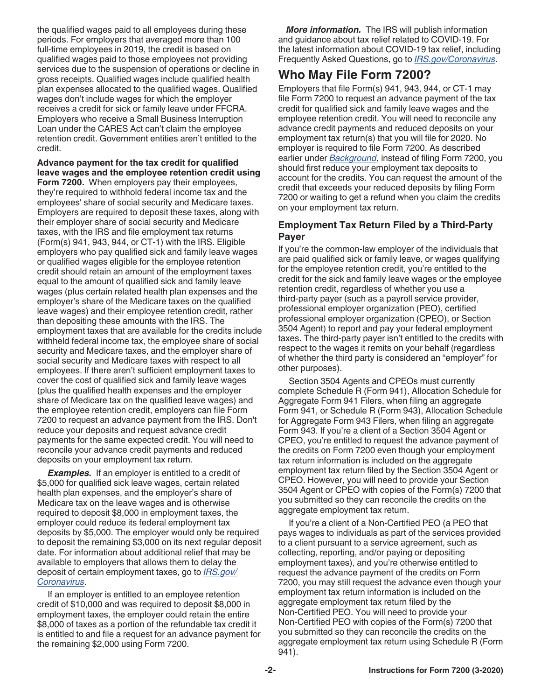<span id="page-1-0"></span>the qualified wages paid to all employees during these periods. For employers that averaged more than 100 full-time employees in 2019, the credit is based on qualified wages paid to those employees not providing services due to the suspension of operations or decline in gross receipts. Qualified wages include qualified health plan expenses allocated to the qualified wages. Qualified wages don't include wages for which the employer receives a credit for sick or family leave under FFCRA. Employers who receive a Small Business Interruption Loan under the CARES Act can't claim the employee retention credit. Government entities aren't entitled to the credit.

**Advance payment for the tax credit for qualified leave wages and the employee retention credit using Form 7200.** When employers pay their employees, they're required to withhold federal income tax and the employees' share of social security and Medicare taxes. Employers are required to deposit these taxes, along with their employer share of social security and Medicare taxes, with the IRS and file employment tax returns (Form(s) 941, 943, 944, or CT-1) with the IRS. Eligible employers who pay qualified sick and family leave wages or qualified wages eligible for the employee retention credit should retain an amount of the employment taxes equal to the amount of qualified sick and family leave wages (plus certain related health plan expenses and the employer's share of the Medicare taxes on the qualified leave wages) and their employee retention credit, rather than depositing these amounts with the IRS. The employment taxes that are available for the credits include withheld federal income tax, the employee share of social security and Medicare taxes, and the employer share of social security and Medicare taxes with respect to all employees. If there aren't sufficient employment taxes to cover the cost of qualified sick and family leave wages (plus the qualified health expenses and the employer share of Medicare tax on the qualified leave wages) and the employee retention credit, employers can file Form 7200 to request an advance payment from the IRS. Don't reduce your deposits and request advance credit payments for the same expected credit. You will need to reconcile your advance credit payments and reduced deposits on your employment tax return.

**Examples.** If an employer is entitled to a credit of \$5,000 for qualified sick leave wages, certain related health plan expenses, and the employer's share of Medicare tax on the leave wages and is otherwise required to deposit \$8,000 in employment taxes, the employer could reduce its federal employment tax deposits by \$5,000. The employer would only be required to deposit the remaining \$3,000 on its next regular deposit date. For information about additional relief that may be available to employers that allows them to delay the deposit of certain employment taxes, go to *[IRS.gov/](https://www.irs.gov/coronavirus) [Coronavirus](https://www.irs.gov/coronavirus)*.

If an employer is entitled to an employee retention credit of \$10,000 and was required to deposit \$8,000 in employment taxes, the employer could retain the entire \$8,000 of taxes as a portion of the refundable tax credit it is entitled to and file a request for an advance payment for the remaining \$2,000 using Form 7200.

*More information.* The IRS will publish information and guidance about tax relief related to COVID-19. For the latest information about COVID-19 tax relief, including Frequently Asked Questions, go to *[IRS.gov/Coronavirus](https://www.irs.gov/coronavirus)*.

### **Who May File Form 7200?**

Employers that file Form(s) 941, 943, 944, or CT-1 may file Form 7200 to request an advance payment of the tax credit for qualified sick and family leave wages and the employee retention credit. You will need to reconcile any advance credit payments and reduced deposits on your employment tax return(s) that you will file for 2020. No employer is required to file Form 7200. As described earlier under *[Background](#page-0-0)*, instead of filing Form 7200, you should first reduce your employment tax deposits to account for the credits. You can request the amount of the credit that exceeds your reduced deposits by filing Form 7200 or waiting to get a refund when you claim the credits on your employment tax return.

#### **Employment Tax Return Filed by a Third-Party Payer**

If you're the common-law employer of the individuals that are paid qualified sick or family leave, or wages qualifying for the employee retention credit, you're entitled to the credit for the sick and family leave wages or the employee retention credit, regardless of whether you use a third-party payer (such as a payroll service provider, professional employer organization (PEO), certified professional employer organization (CPEO), or Section 3504 Agent) to report and pay your federal employment taxes. The third-party payer isn't entitled to the credits with respect to the wages it remits on your behalf (regardless of whether the third party is considered an "employer" for other purposes).

Section 3504 Agents and CPEOs must currently complete Schedule R (Form 941), Allocation Schedule for Aggregate Form 941 Filers, when filing an aggregate Form 941, or Schedule R (Form 943), Allocation Schedule for Aggregate Form 943 Filers, when filing an aggregate Form 943. If you're a client of a Section 3504 Agent or CPEO, you're entitled to request the advance payment of the credits on Form 7200 even though your employment tax return information is included on the aggregate employment tax return filed by the Section 3504 Agent or CPEO. However, you will need to provide your Section 3504 Agent or CPEO with copies of the Form(s) 7200 that you submitted so they can reconcile the credits on the aggregate employment tax return.

If you're a client of a Non-Certified PEO (a PEO that pays wages to individuals as part of the services provided to a client pursuant to a service agreement, such as collecting, reporting, and/or paying or depositing employment taxes), and you're otherwise entitled to request the advance payment of the credits on Form 7200, you may still request the advance even though your employment tax return information is included on the aggregate employment tax return filed by the Non-Certified PEO. You will need to provide your Non-Certified PEO with copies of the Form(s) 7200 that you submitted so they can reconcile the credits on the aggregate employment tax return using Schedule R (Form 941).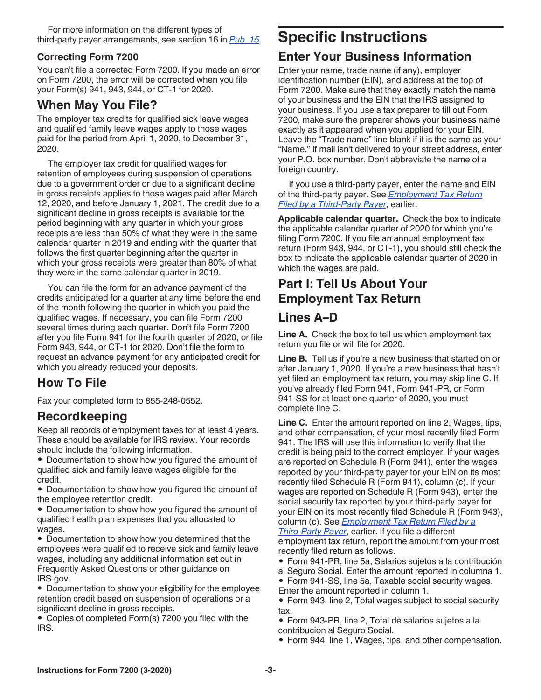### <span id="page-2-0"></span>**Correcting Form 7200**

You can't file a corrected Form 7200. If you made an error on Form 7200, the error will be corrected when you file your Form(s) 941, 943, 944, or CT-1 for 2020.

### **When May You File?**

The employer tax credits for qualified sick leave wages and qualified family leave wages apply to those wages paid for the period from April 1, 2020, to December 31, 2020.

The employer tax credit for qualified wages for retention of employees during suspension of operations due to a government order or due to a significant decline in gross receipts applies to those wages paid after March 12, 2020, and before January 1, 2021. The credit due to a significant decline in gross receipts is available for the period beginning with any quarter in which your gross receipts are less than 50% of what they were in the same calendar quarter in 2019 and ending with the quarter that follows the first quarter beginning after the quarter in which your gross receipts were greater than 80% of what they were in the same calendar quarter in 2019.

You can file the form for an advance payment of the credits anticipated for a quarter at any time before the end of the month following the quarter in which you paid the qualified wages. If necessary, you can file Form 7200 several times during each quarter. Don't file Form 7200 after you file Form 941 for the fourth quarter of 2020, or file Form 943, 944, or CT-1 for 2020. Don't file the form to request an advance payment for any anticipated credit for which you already reduced your deposits.

# **How To File**

Fax your completed form to 855-248-0552.

### **Recordkeeping**

Keep all records of employment taxes for at least 4 years. These should be available for IRS review. Your records should include the following information.

• Documentation to show how you figured the amount of qualified sick and family leave wages eligible for the credit.

• Documentation to show how you figured the amount of the employee retention credit.

• Documentation to show how you figured the amount of qualified health plan expenses that you allocated to wages.

• Documentation to show how you determined that the employees were qualified to receive sick and family leave wages, including any additional information set out in Frequently Asked Questions or other guidance on IRS.gov.

• Documentation to show your eligibility for the employee retention credit based on suspension of operations or a significant decline in gross receipts.

• Copies of completed Form(s) 7200 you filed with the IRS.

# **Specific Instructions**

# **Enter Your Business Information**

Enter your name, trade name (if any), employer identification number (EIN), and address at the top of Form 7200. Make sure that they exactly match the name of your business and the EIN that the IRS assigned to your business. If you use a tax preparer to fill out Form 7200, make sure the preparer shows your business name exactly as it appeared when you applied for your EIN. Leave the "Trade name" line blank if it is the same as your "Name." If mail isn't delivered to your street address, enter your P.O. box number. Don't abbreviate the name of a foreign country.

If you use a third-party payer, enter the name and EIN of the third-party payer. See *[Employment Tax Return](#page-1-0) [Filed by a Third-Party Payer](#page-1-0)*, earlier.

**Applicable calendar quarter.** Check the box to indicate the applicable calendar quarter of 2020 for which you're filing Form 7200. If you file an annual employment tax return (Form 943, 944, or CT-1), you should still check the box to indicate the applicable calendar quarter of 2020 in which the wages are paid.

### **Part I: Tell Us About Your Employment Tax Return**

### **Lines A–D**

Line A. Check the box to tell us which employment tax return you file or will file for 2020.

**Line B.** Tell us if you're a new business that started on or after January 1, 2020. If you're a new business that hasn't yet filed an employment tax return, you may skip line C. If you've already filed Form 941, Form 941-PR, or Form 941-SS for at least one quarter of 2020, you must complete line C.

**Line C.** Enter the amount reported on line 2, Wages, tips, and other compensation, of your most recently filed Form 941. The IRS will use this information to verify that the credit is being paid to the correct employer. If your wages are reported on Schedule R (Form 941), enter the wages reported by your third-party payer for your EIN on its most recently filed Schedule R (Form 941), column (c). If your wages are reported on Schedule R (Form 943), enter the social security tax reported by your third-party payer for your EIN on its most recently filed Schedule R (Form 943), column (c). See *[Employment Tax Return Filed by a](#page-1-0)* 

*[Third-Party Payer](#page-1-0)*, earlier. If you file a different employment tax return, report the amount from your most recently filed return as follows.

• Form 941-PR, line 5a, Salarios sujetos a la contribución

al Seguro Social. Enter the amount reported in columna 1.

• Form 941-SS, line 5a, Taxable social security wages. Enter the amount reported in column 1.

• Form 943, line 2, Total wages subject to social security tax.

• Form 943-PR, line 2, Total de salarios sujetos a la contribución al Seguro Social.

• Form 944, line 1, Wages, tips, and other compensation.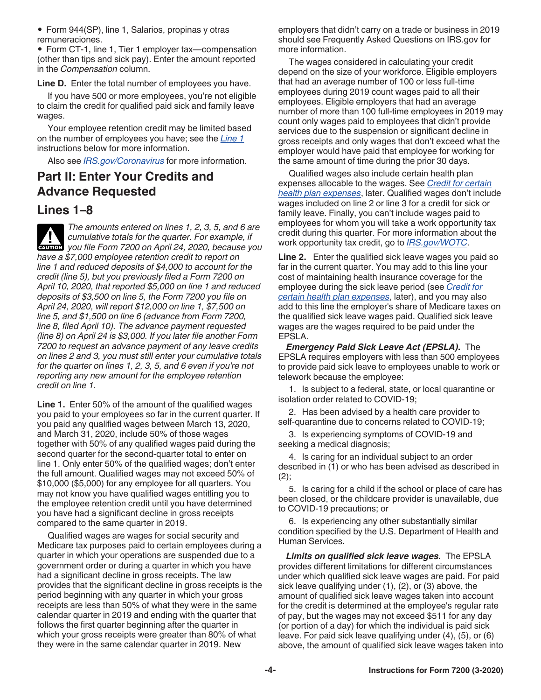• Form 944(SP), line 1, Salarios, propinas y otras remuneraciones.

• Form CT-1, line 1, Tier 1 employer tax—compensation (other than tips and sick pay). Enter the amount reported in the *Compensation* column.

**Line D.** Enter the total number of employees you have.

If you have 500 or more employees, you're not eligible to claim the credit for qualified paid sick and family leave wages.

Your employee retention credit may be limited based on the number of employees you have; see the *Line 1*  instructions below for more information.

Also see *[IRS.gov/Coronavirus](https://www.irs.gov/coronavirus)* for more information.

### **Part II: Enter Your Credits and Advance Requested**

### **Lines 1–8**

*The amounts entered on lines 1, 2, 3, 5, and 6 are cumulative totals for the quarter. For example, if*  **z** cumulative totals for the quarter. For example, if you file Form 7200 on April 24, 2020, because you *have a \$7,000 employee retention credit to report on line 1 and reduced deposits of \$4,000 to account for the credit (line 5), but you previously filed a Form 7200 on April 10, 2020, that reported \$5,000 on line 1 and reduced deposits of \$3,500 on line 5, the Form 7200 you file on April 24, 2020, will report \$12,000 on line 1, \$7,500 on line 5, and \$1,500 on line 6 (advance from Form 7200, line 8, filed April 10). The advance payment requested (line 8) on April 24 is \$3,000. If you later file another Form 7200 to request an advance payment of any leave credits on lines 2 and 3, you must still enter your cumulative totals for the quarter on lines 1, 2, 3, 5, and 6 even if you're not reporting any new amount for the employee retention credit on line 1.*

**Line 1.** Enter 50% of the amount of the qualified wages you paid to your employees so far in the current quarter. If you paid any qualified wages between March 13, 2020, and March 31, 2020, include 50% of those wages together with 50% of any qualified wages paid during the second quarter for the second-quarter total to enter on line 1. Only enter 50% of the qualified wages; don't enter the full amount. Qualified wages may not exceed 50% of \$10,000 (\$5,000) for any employee for all quarters. You may not know you have qualified wages entitling you to the employee retention credit until you have determined you have had a significant decline in gross receipts compared to the same quarter in 2019.

Qualified wages are wages for social security and Medicare tax purposes paid to certain employees during a quarter in which your operations are suspended due to a government order or during a quarter in which you have had a significant decline in gross receipts. The law provides that the significant decline in gross receipts is the period beginning with any quarter in which your gross receipts are less than 50% of what they were in the same calendar quarter in 2019 and ending with the quarter that follows the first quarter beginning after the quarter in which your gross receipts were greater than 80% of what they were in the same calendar quarter in 2019. New

employers that didn't carry on a trade or business in 2019 should see Frequently Asked Questions on IRS.gov for more information.

The wages considered in calculating your credit depend on the size of your workforce. Eligible employers that had an average number of 100 or less full-time employees during 2019 count wages paid to all their employees. Eligible employers that had an average number of more than 100 full-time employees in 2019 may count only wages paid to employees that didn't provide services due to the suspension or significant decline in gross receipts and only wages that don't exceed what the employer would have paid that employee for working for the same amount of time during the prior 30 days.

Qualified wages also include certain health plan expenses allocable to the wages. See *[Credit for certain](#page-4-0)  [health plan expenses](#page-4-0)*, later. Qualified wages don't include wages included on line 2 or line 3 for a credit for sick or family leave. Finally, you can't include wages paid to employees for whom you will take a work opportunity tax credit during this quarter. For more information about the work opportunity tax credit, go to *[IRS.gov/WOTC](https://www.irs.gov/wotc)*.

**Line 2.** Enter the qualified sick leave wages you paid so far in the current quarter. You may add to this line your cost of maintaining health insurance coverage for the employee during the sick leave period (see *[Credit for](#page-4-0) [certain health plan expenses](#page-4-0)*, later), and you may also add to this line the employer's share of Medicare taxes on the qualified sick leave wages paid. Qualified sick leave wages are the wages required to be paid under the EPSLA.

*Emergency Paid Sick Leave Act (EPSLA).* The EPSLA requires employers with less than 500 employees to provide paid sick leave to employees unable to work or telework because the employee:

1. Is subject to a federal, state, or local quarantine or isolation order related to COVID-19;

2. Has been advised by a health care provider to self-quarantine due to concerns related to COVID-19;

3. Is experiencing symptoms of COVID-19 and seeking a medical diagnosis;

4. Is caring for an individual subject to an order described in (1) or who has been advised as described in  $(2);$ 

5. Is caring for a child if the school or place of care has been closed, or the childcare provider is unavailable, due to COVID-19 precautions; or

6. Is experiencing any other substantially similar condition specified by the U.S. Department of Health and Human Services.

*Limits on qualified sick leave wages.* The EPSLA provides different limitations for different circumstances under which qualified sick leave wages are paid. For paid sick leave qualifying under (1), (2), or (3) above, the amount of qualified sick leave wages taken into account for the credit is determined at the employee's regular rate of pay, but the wages may not exceed \$511 for any day (or portion of a day) for which the individual is paid sick leave. For paid sick leave qualifying under (4), (5), or (6) above, the amount of qualified sick leave wages taken into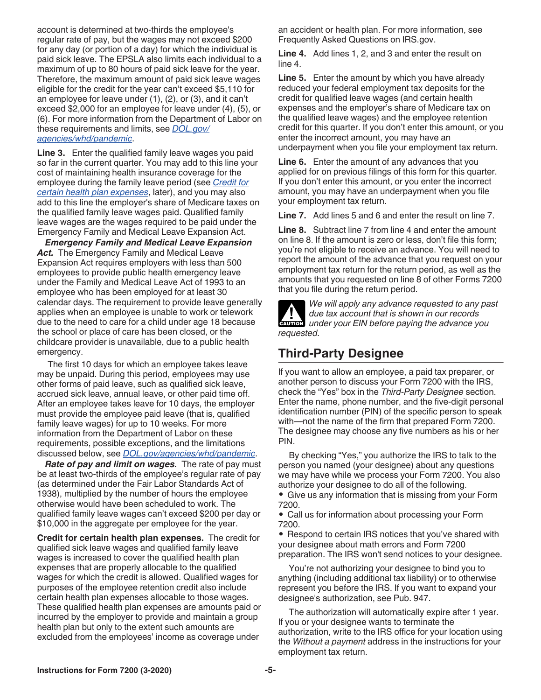<span id="page-4-0"></span>account is determined at two-thirds the employee's regular rate of pay, but the wages may not exceed \$200 for any day (or portion of a day) for which the individual is paid sick leave. The EPSLA also limits each individual to a maximum of up to 80 hours of paid sick leave for the year. Therefore, the maximum amount of paid sick leave wages eligible for the credit for the year can't exceed \$5,110 for an employee for leave under (1), (2), or (3), and it can't exceed \$2,000 for an employee for leave under (4), (5), or (6). For more information from the Department of Labor on these requirements and limits, see *[DOL.gov/](https://www.dol.gov/agencies/whd/pandemic) [agencies/whd/pandemic](https://www.dol.gov/agencies/whd/pandemic)*.

**Line 3.** Enter the qualified family leave wages you paid so far in the current quarter. You may add to this line your cost of maintaining health insurance coverage for the employee during the family leave period (see *Credit for certain health plan expenses*, later), and you may also add to this line the employer's share of Medicare taxes on the qualified family leave wages paid. Qualified family leave wages are the wages required to be paid under the Emergency Family and Medical Leave Expansion Act.

*Emergency Family and Medical Leave Expansion*  Act. The Emergency Family and Medical Leave Expansion Act requires employers with less than 500 employees to provide public health emergency leave under the Family and Medical Leave Act of 1993 to an employee who has been employed for at least 30 calendar days. The requirement to provide leave generally applies when an employee is unable to work or telework due to the need to care for a child under age 18 because the school or place of care has been closed, or the childcare provider is unavailable, due to a public health emergency.

The first 10 days for which an employee takes leave may be unpaid. During this period, employees may use other forms of paid leave, such as qualified sick leave, accrued sick leave, annual leave, or other paid time off. After an employee takes leave for 10 days, the employer must provide the employee paid leave (that is, qualified family leave wages) for up to 10 weeks. For more information from the Department of Labor on these requirements, possible exceptions, and the limitations discussed below, see *[DOL.gov/agencies/whd/pandemic](https://www.dol.gov/agencies/whd/pandemic)*.

*Rate of pay and limit on wages.* The rate of pay must be at least two-thirds of the employee's regular rate of pay (as determined under the Fair Labor Standards Act of 1938), multiplied by the number of hours the employee otherwise would have been scheduled to work. The qualified family leave wages can't exceed \$200 per day or \$10,000 in the aggregate per employee for the year.

**Credit for certain health plan expenses.** The credit for qualified sick leave wages and qualified family leave wages is increased to cover the qualified health plan expenses that are properly allocable to the qualified wages for which the credit is allowed. Qualified wages for purposes of the employee retention credit also include certain health plan expenses allocable to those wages. These qualified health plan expenses are amounts paid or incurred by the employer to provide and maintain a group health plan but only to the extent such amounts are excluded from the employees' income as coverage under

an accident or health plan. For more information, see Frequently Asked Questions on IRS.gov.

**Line 4.** Add lines 1, 2, and 3 and enter the result on line 4.

**Line 5.** Enter the amount by which you have already reduced your federal employment tax deposits for the credit for qualified leave wages (and certain health expenses and the employer's share of Medicare tax on the qualified leave wages) and the employee retention credit for this quarter. If you don't enter this amount, or you enter the incorrect amount, you may have an underpayment when you file your employment tax return.

**Line 6.** Enter the amount of any advances that you applied for on previous filings of this form for this quarter. If you don't enter this amount, or you enter the incorrect amount, you may have an underpayment when you file your employment tax return.

**Line 7.** Add lines 5 and 6 and enter the result on line 7.

**Line 8.** Subtract line 7 from line 4 and enter the amount on line 8. If the amount is zero or less, don't file this form; you're not eligible to receive an advance. You will need to report the amount of the advance that you request on your employment tax return for the return period, as well as the amounts that you requested on line 8 of other Forms 7200 that you file during the return period.

*We will apply any advance requested to any past due tax account that is shown in our records*  **due tax account that is shown in our records**<br> **CAUTION** under your EIN before paying the advance you *requested.*

### **Third-Party Designee**

If you want to allow an employee, a paid tax preparer, or another person to discuss your Form 7200 with the IRS, check the "Yes" box in the *Third-Party Designee* section. Enter the name, phone number, and the five-digit personal identification number (PIN) of the specific person to speak with—not the name of the firm that prepared Form 7200. The designee may choose any five numbers as his or her PIN.

By checking "Yes," you authorize the IRS to talk to the person you named (your designee) about any questions we may have while we process your Form 7200. You also authorize your designee to do all of the following.

• Give us any information that is missing from your Form 7200.

• Call us for information about processing your Form 7200.

• Respond to certain IRS notices that you've shared with your designee about math errors and Form 7200 preparation. The IRS won't send notices to your designee.

You're not authorizing your designee to bind you to anything (including additional tax liability) or to otherwise represent you before the IRS. If you want to expand your designee's authorization, see Pub. 947.

The authorization will automatically expire after 1 year. If you or your designee wants to terminate the authorization, write to the IRS office for your location using the *Without a payment* address in the instructions for your employment tax return.